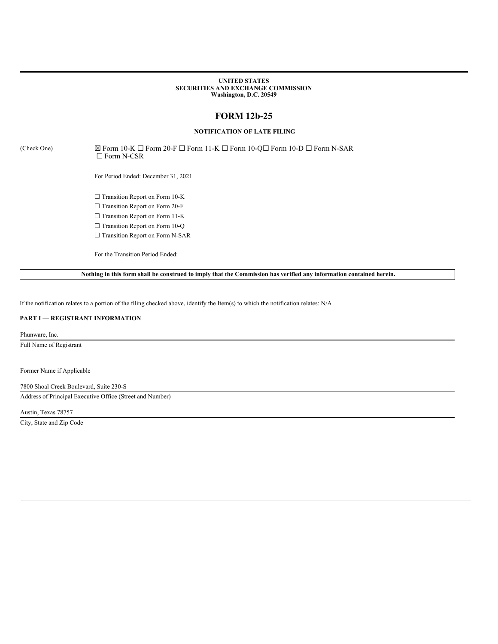### **UNITED STATES SECURITIES AND EXCHANGE COMMISSION Washington, D.C. 20549**

# **FORM 12b-25**

## **NOTIFICATION OF LATE FILING**

(Check One)  $\boxtimes$  Form 10-K  $\Box$  Form 20-F  $\Box$  Form 11-K  $\Box$  Form 10-Q $\Box$  Form N-SAR  $\Box$  Form N-CSR

For Period Ended: December 31, 2021

☐ Transition Report on Form 10-K

□ Transition Report on Form 20-F

□ Transition Report on Form 11-K

□ Transition Report on Form 10-Q

□ Transition Report on Form N-SAR

For the Transition Period Ended:

Nothing in this form shall be construed to imply that the Commission has verified any information contained herein.

If the notification relates to a portion of the filing checked above, identify the Item(s) to which the notification relates: N/A

### **PART I — REGISTRANT INFORMATION**

Phunware, Inc.

Full Name of Registrant

Former Name if Applicable

7800 Shoal Creek Boulevard, Suite 230-S

Address of Principal Executive Office (Street and Number)

Austin, Texas 78757

City, State and Zip Code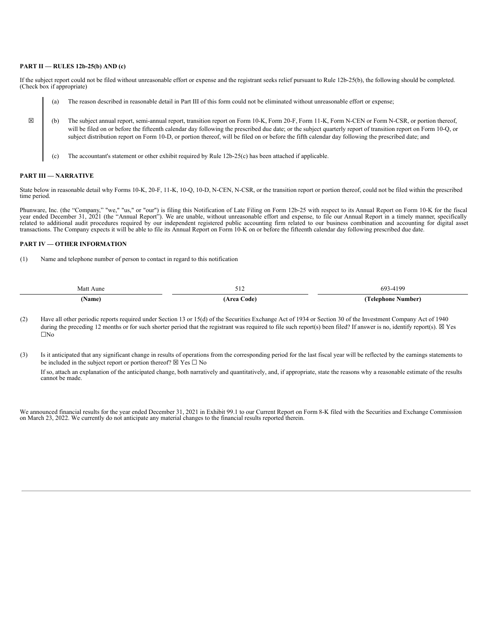### **PART II — RULES 12b-25(b) AND (c)**

If the subject report could not be filed without unreasonable effort or expense and the registrant seeks relief pursuant to Rule 12b-25(b), the following should be completed. (Check box if appropriate)

|   | (a) | The reason described in reasonable detail in Part III of this form could not be eliminated without unreasonable effort or expense;                                                                                                                                                                                                                                                                                                                                         |
|---|-----|----------------------------------------------------------------------------------------------------------------------------------------------------------------------------------------------------------------------------------------------------------------------------------------------------------------------------------------------------------------------------------------------------------------------------------------------------------------------------|
| 図 | (b) | The subject annual report, semi-annual report, transition report on Form 10-K, Form 20-F, Form 11-K, Form N-CEN or Form N-CSR, or portion thereof,<br>will be filed on or before the fifteenth calendar day following the prescribed due date; or the subject quarterly report of transition report on Form 10-Q, or<br>subject distribution report on Form 10-D, or portion thereof, will be filed on or before the fifth calendar day following the prescribed date; and |
|   | (c) | The accountant's statement or other exhibit required by Rule $12b-25(c)$ has been attached if applicable.                                                                                                                                                                                                                                                                                                                                                                  |

### **PART III — NARRATIVE**

State below in reasonable detail why Forms 10-K, 20-F, 11-K, 10-Q, 10-D, N-CEN, N-CSR, or the transition report or portion thereof, could not be filed within the prescribed time period.

Phunware, Inc. (the "Company," "we," "us," or "our") is filing this Notification of Late Filing on Form 12b-25 with respect to its Annual Report on Form 10-K for the fiscal year ended December 31, 2021 (the "Annual Report"). We are unable, without unreasonable effort and expense, to file our Annual Report in a timely manner, specifically related to additional audit procedures required by our independent registered public accounting firm related to our business combination and accounting for digital asset transactions. The Company expects it will be able to file its Annual Report on Form 10-K on or before the fifteenth calendar day following prescribed due date.

### **PART IV — OTHER INFORMATION**

(1) Name and telephone number of person to contact in regard to this notification

| Matt        |            |                      |
|-------------|------------|----------------------|
| : Aune      | - - -      | 693-4199             |
| <b>vame</b> | Area Code) | Number<br>l elenhone |

(2) Have all other periodic reports required under Section 13 or 15(d) of the Securities Exchange Act of 1934 or Section 30 of the Investment Company Act of 1940 during the preceding 12 months or for such shorter period that the registrant was required to file such report(s) been filed? If answer is no, identify report(s).  $\boxtimes$  Yes ☐No

(3) Is it anticipated that any significant change in results of operations from the corresponding period for the last fiscal year will be reflected by the earnings statements to be included in the subject report or portion thereof?  $\boxtimes$  Yes  $\Box$  No If so, attach an explanation of the anticipated change, both narratively and quantitatively, and, if appropriate, state the reasons why a reasonable estimate of the results cannot be made.

We announced financial results for the year ended December 31, 2021 in Exhibit 99.1 to our Current Report on Form 8-K filed with the Securities and Exchange Commission on March 23, 2022. We currently do not anticipate any material changes to the financial results reported therein.